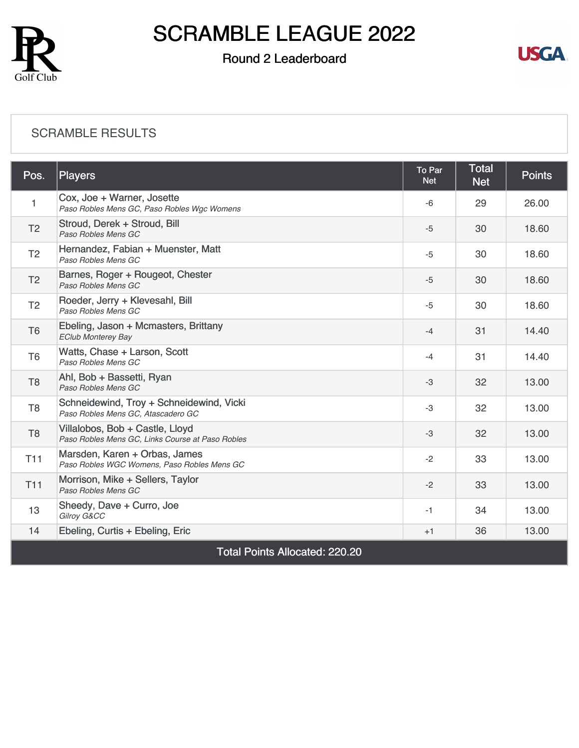

### Round 2 Leaderboard



#### [SCRAMBLE RESULTS](https://cdn2.golfgenius.com/v2tournaments/8265454799378497035?called_from=&round_index=2)

| Pos.                                  | <b>Players</b>                                                                      | To Par<br><b>Net</b> | <b>Total</b><br><b>Net</b> | <b>Points</b> |  |
|---------------------------------------|-------------------------------------------------------------------------------------|----------------------|----------------------------|---------------|--|
| 1                                     | Cox, Joe + Warner, Josette<br>Paso Robles Mens GC, Paso Robles Wgc Womens           | $-6$                 | 29                         | 26.00         |  |
| T <sub>2</sub>                        | Stroud, Derek + Stroud, Bill<br>Paso Robles Mens GC                                 | $-5$                 | 30                         | 18.60         |  |
| T <sub>2</sub>                        | Hernandez, Fabian + Muenster, Matt<br>Paso Robles Mens GC                           | $-5$                 | 30                         | 18.60         |  |
| T <sub>2</sub>                        | Barnes, Roger + Rougeot, Chester<br>Paso Robles Mens GC                             | $-5$                 | 30                         | 18.60         |  |
| T <sub>2</sub>                        | Roeder, Jerry + Klevesahl, Bill<br>Paso Robles Mens GC                              | $-5$                 | 30                         | 18.60         |  |
| T <sub>6</sub>                        | Ebeling, Jason + Mcmasters, Brittany<br><b>EClub Monterey Bay</b>                   | $-4$                 | 31                         | 14.40         |  |
| T <sub>6</sub>                        | Watts, Chase + Larson, Scott<br>Paso Robles Mens GC                                 | $-4$                 | 31                         | 14.40         |  |
| T <sub>8</sub>                        | Ahl, Bob + Bassetti, Ryan<br>Paso Robles Mens GC                                    | $-3$                 | 32                         | 13.00         |  |
| T <sub>8</sub>                        | Schneidewind, Troy + Schneidewind, Vicki<br>Paso Robles Mens GC, Atascadero GC      | $-3$                 | 32                         | 13.00         |  |
| T <sub>8</sub>                        | Villalobos, Bob + Castle, Lloyd<br>Paso Robles Mens GC, Links Course at Paso Robles | $-3$                 | 32                         | 13.00         |  |
| <b>T11</b>                            | Marsden, Karen + Orbas, James<br>Paso Robles WGC Womens, Paso Robles Mens GC        | $-2$                 | 33                         | 13.00         |  |
| T <sub>11</sub>                       | Morrison, Mike + Sellers, Taylor<br>Paso Robles Mens GC                             | $-2$                 | 33                         | 13.00         |  |
| 13                                    | Sheedy, Dave + Curro, Joe<br>Gilroy G&CC                                            | $-1$                 | 34                         | 13.00         |  |
| 14                                    | Ebeling, Curtis + Ebeling, Eric                                                     | $+1$                 | 36                         | 13.00         |  |
| <b>Total Points Allocated: 220.20</b> |                                                                                     |                      |                            |               |  |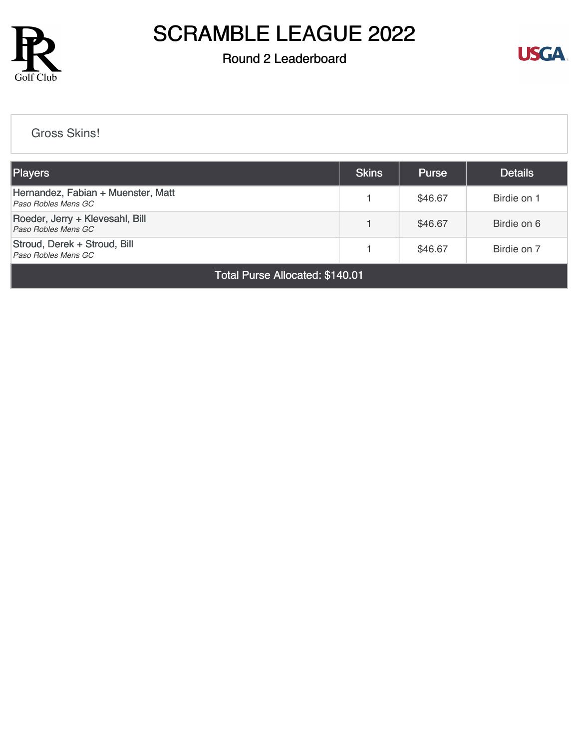

### Round 2 Leaderboard



[Gross Skins!](https://cdn2.golfgenius.com/v2tournaments/8265454820886887948?called_from=&round_index=2)

| <b>Players</b>                                            |  | <b>Purse</b> | <b>Details</b> |  |  |
|-----------------------------------------------------------|--|--------------|----------------|--|--|
| Hernandez, Fabian + Muenster, Matt<br>Paso Robles Mens GC |  | \$46.67      | Birdie on 1    |  |  |
| Roeder, Jerry + Klevesahl, Bill<br>Paso Robles Mens GC    |  | \$46.67      | Birdie on 6    |  |  |
| Stroud, Derek + Stroud, Bill<br>Paso Robles Mens GC       |  | \$46.67      | Birdie on 7    |  |  |
| Total Purse Allocated: \$140.01                           |  |              |                |  |  |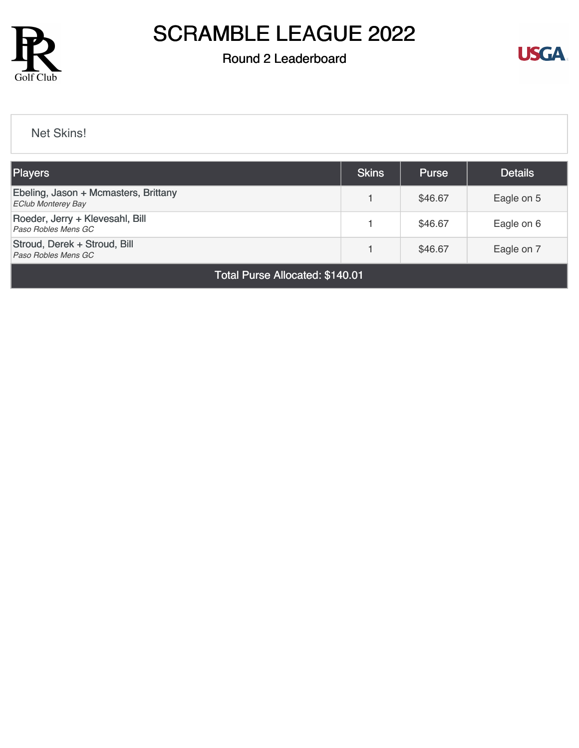

### Round 2 Leaderboard



[Net Skins!](https://cdn2.golfgenius.com/v2tournaments/8265454839509597709?called_from=&round_index=2)

| <b>Players</b>                                                    |  | <b>Purse</b> | <b>Details</b> |  |  |
|-------------------------------------------------------------------|--|--------------|----------------|--|--|
| Ebeling, Jason + Mcmasters, Brittany<br><b>EClub Monterey Bay</b> |  | \$46.67      | Eagle on 5     |  |  |
| Roeder, Jerry + Klevesahl, Bill<br>Paso Robles Mens GC            |  | \$46.67      | Eagle on 6     |  |  |
| Stroud, Derek + Stroud, Bill<br>Paso Robles Mens GC               |  | \$46.67      | Eagle on 7     |  |  |
| Total Purse Allocated: \$140.01                                   |  |              |                |  |  |